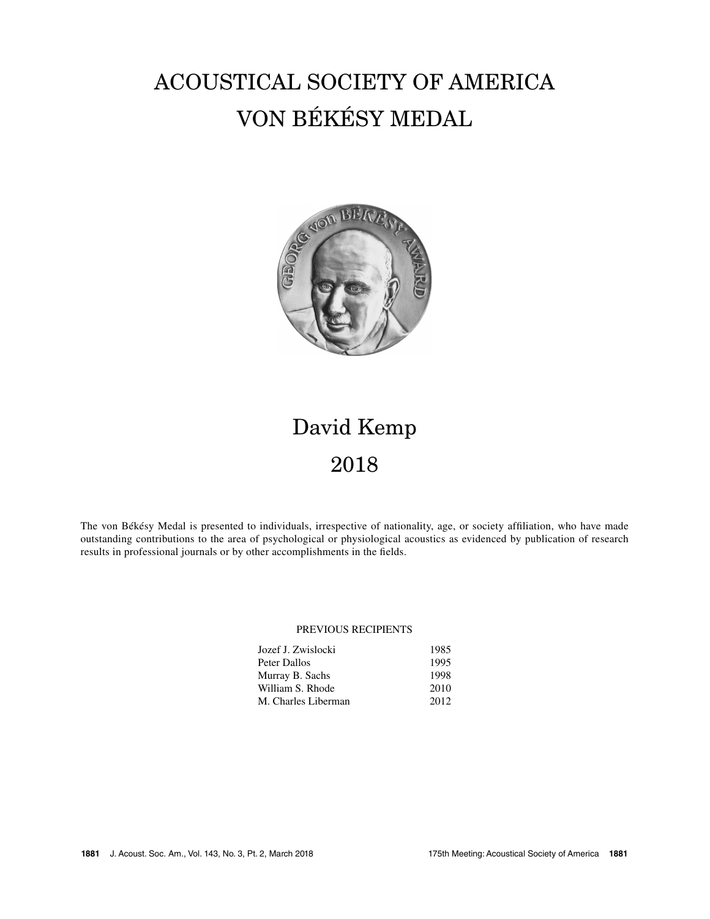## ACOUSTICAL SOCIETY OF AMERICA VON BÉKÉSY MEDAL



# David Kemp 2018

The von Békésy Medal is presented to individuals, irrespective of nationality, age, or society affiliation, who have made outstanding contributions to the area of psychological or physiological acoustics as evidenced by publication of research results in professional journals or by other accomplishments in the fields.

#### PREVIOUS RECIPIENTS

| Jozef J. Zwislocki  | 1985 |
|---------------------|------|
| Peter Dallos        | 1995 |
| Murray B. Sachs     | 1998 |
| William S. Rhode    | 2010 |
| M. Charles Liberman | 2012 |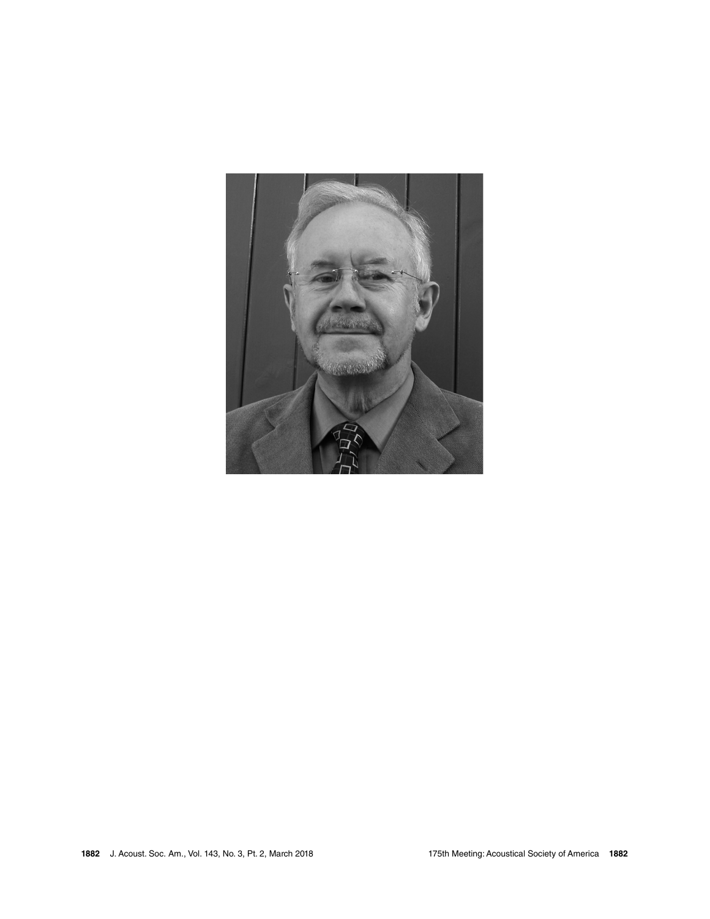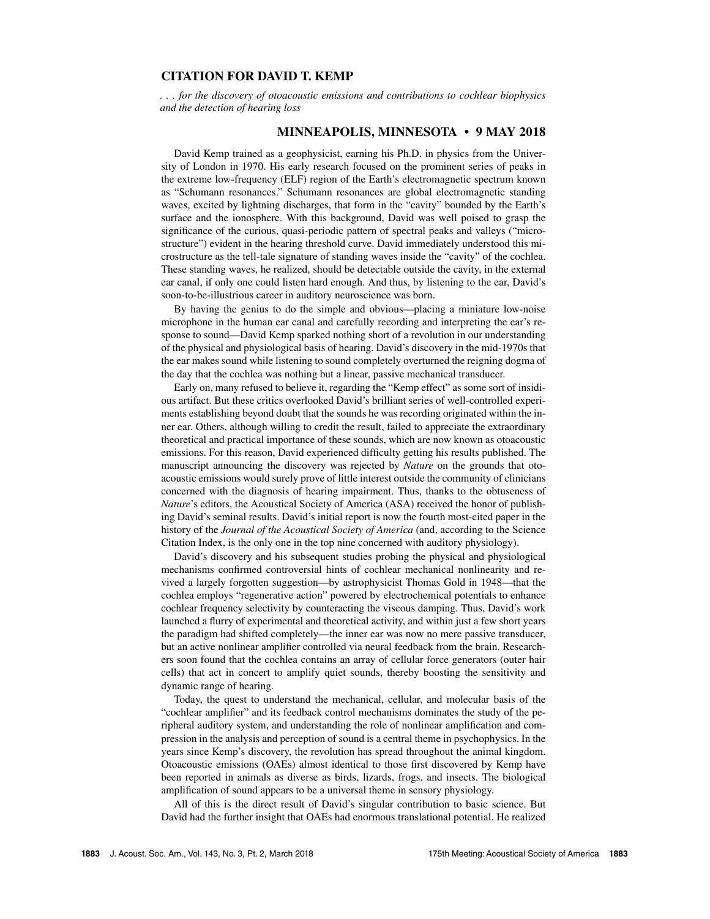## **CITATION FOR DAVID T. KEMP**

*. . . for the discovery of otoacoustic emissions and contributions to cochlear biophysics and the detection of hearing loss*

### **MINNEAPOLIS, MINNESOTA • 9 MAY 2018**

David Kemp trained as a geophysicist, earning his Ph.D. in physics from the University of London in 1970. His early research focused on the prominent series of peaks in the extreme low-frequency (ELF) region of the Earth's electromagnetic spectrum known as "Schumann resonances." Schumann resonances are global electromagnetic standing waves, excited by lightning discharges, that form in the "cavity" bounded by the Earth's surface and the ionosphere. With this background, David was well poised to grasp the significance of the curious, quasi-periodic pattern of spectral peaks and valleys ("microstructure") evident in the hearing threshold curve. David immediately understood this microstructure as the tell-tale signature of standing waves inside the "cavity" of the cochlea. These standing waves, he realized, should be detectable outside the cavity, in the external ear canal, if only one could listen hard enough. And thus, by listening to the ear, David's soon-to-be-illustrious career in auditory neuroscience was born.

By having the genius to do the simple and obvious—placing a miniature low-noise microphone in the human ear canal and carefully recording and interpreting the ear's response to sound—David Kemp sparked nothing short of a revolution in our understanding of the physical and physiological basis of hearing. David's discovery in the mid-1970s that the ear makes sound while listening to sound completely overturned the reigning dogma of the day that the cochlea was nothing but a linear, passive mechanical transducer.

Early on, many refused to believe it, regarding the "Kemp effect" as some sort of insidious artifact. But these critics overlooked David's brilliant series of well-controlled experiments establishing beyond doubt that the sounds he was recording originated within the inner ear. Others, although willing to credit the result, failed to appreciate the extraordinary theoretical and practical importance of these sounds, which are now known as otoacoustic emissions. For this reason, David experienced difficulty getting his results published. The manuscript announcing the discovery was rejected by *Nature* on the grounds that otoacoustic emissions would surely prove of little interest outside the community of clinicians concerned with the diagnosis of hearing impairment. Thus, thanks to the obtuseness of *Nature*'s editors, the Acoustical Society of America (ASA) received the honor of publishing David's seminal results. David's initial report is now the fourth most-cited paper in the history of the *Journal of the Acoustical Society of America* (and, according to the Science Citation Index, is the only one in the top nine concerned with auditory physiology).

David's discovery and his subsequent studies probing the physical and physiological mechanisms confirmed controversial hints of cochlear mechanical nonlinearity and revived a largely forgotten suggestion—by astrophysicist Thomas Gold in 1948—that the cochlea employs "regenerative action" powered by electrochemical potentials to enhance cochlear frequency selectivity by counteracting the viscous damping. Thus, David's work launched a flurry of experimental and theoretical activity, and within just a few short years the paradigm had shifted completely—the inner ear was now no mere passive transducer, but an active nonlinear amplifier controlled via neural feedback from the brain. Researchers soon found that the cochlea contains an array of cellular force generators (outer hair cells) that act in concert to amplify quiet sounds, thereby boosting the sensitivity and dynamic range of hearing.

Today, the quest to understand the mechanical, cellular, and molecular basis of the "cochlear amplifier" and its feedback control mechanisms dominates the study of the peripheral auditory system, and understanding the role of nonlinear amplification and compression in the analysis and perception of sound is a central theme in psychophysics. In the years since Kemp's discovery, the revolution has spread throughout the animal kingdom. Otoacoustic emissions (OAEs) almost identical to those first discovered by Kemp have been reported in animals as diverse as birds, lizards, frogs, and insects. The biological amplification of sound appears to be a universal theme in sensory physiology.

All of this is the direct result of David's singular contribution to basic science. But David had the further insight that OAEs had enormous translational potential. He realized